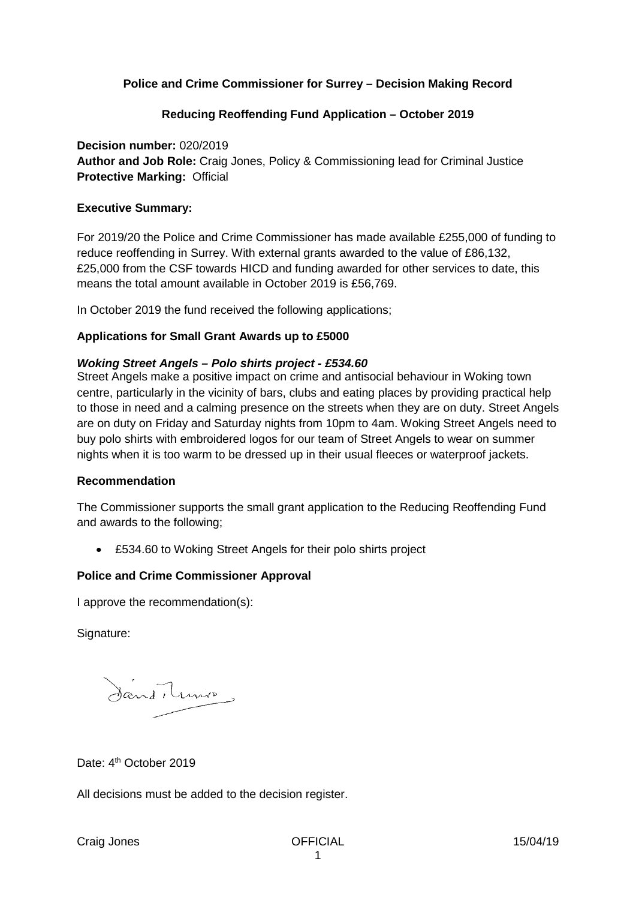## **Police and Crime Commissioner for Surrey – Decision Making Record**

### **Reducing Reoffending Fund Application – October 2019**

**Decision number:** 020/2019 **Author and Job Role:** Craig Jones, Policy & Commissioning lead for Criminal Justice **Protective Marking:** Official

#### **Executive Summary:**

For 2019/20 the Police and Crime Commissioner has made available £255,000 of funding to reduce reoffending in Surrey. With external grants awarded to the value of £86,132, £25,000 from the CSF towards HICD and funding awarded for other services to date, this means the total amount available in October 2019 is £56,769.

In October 2019 the fund received the following applications;

#### **Applications for Small Grant Awards up to £5000**

#### *Woking Street Angels – Polo shirts project - £534.60*

Street Angels make a positive impact on crime and antisocial behaviour in Woking town centre, particularly in the vicinity of bars, clubs and eating places by providing practical help to those in need and a calming presence on the streets when they are on duty. Street Angels are on duty on Friday and Saturday nights from 10pm to 4am. Woking Street Angels need to buy polo shirts with embroidered logos for our team of Street Angels to wear on summer nights when it is too warm to be dressed up in their usual fleeces or waterproof jackets.

#### **Recommendation**

The Commissioner supports the small grant application to the Reducing Reoffending Fund and awards to the following;

• £534.60 to Woking Street Angels for their polo shirts project

### **Police and Crime Commissioner Approval**

I approve the recommendation(s):

Signature:

Jand Truno

### Date: 4<sup>th</sup> October 2019

All decisions must be added to the decision register.